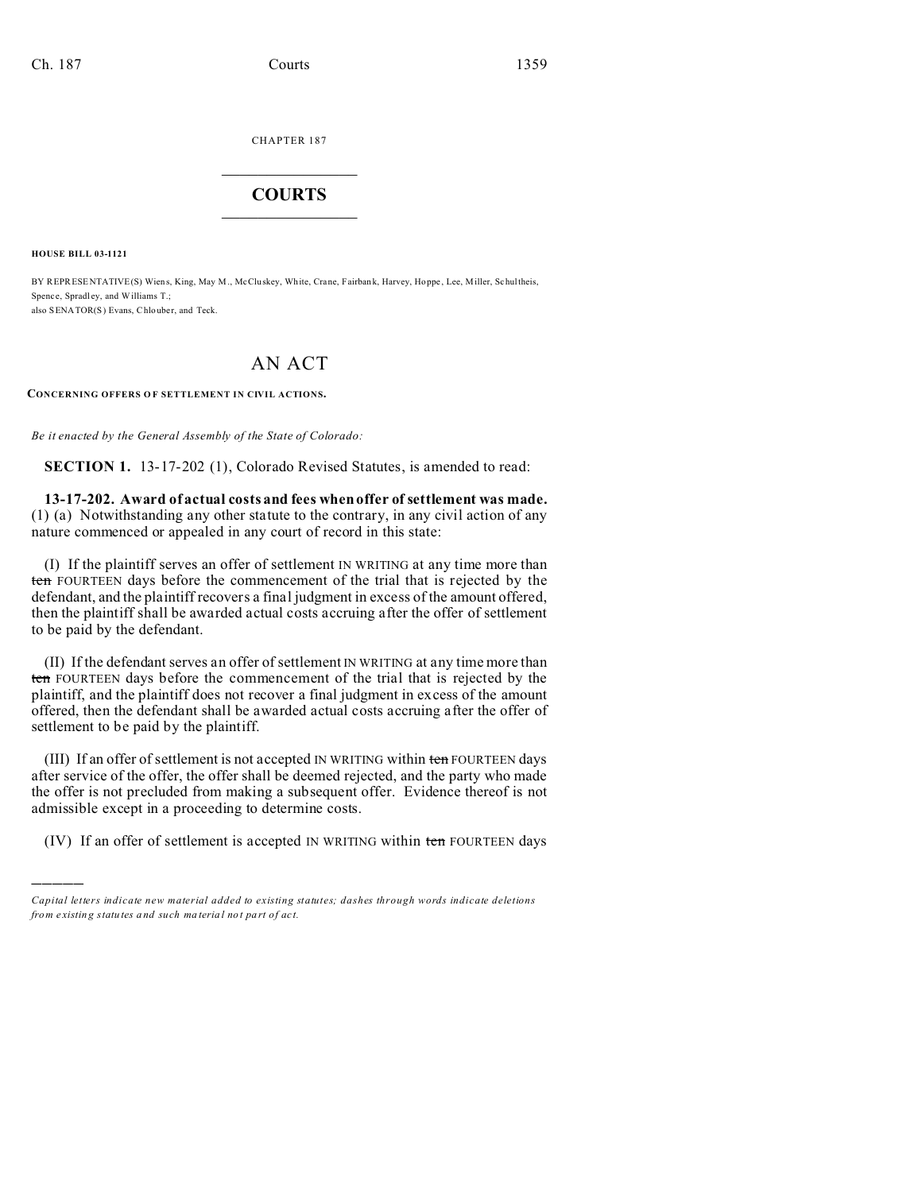CHAPTER 187  $\overline{\phantom{a}}$  , where  $\overline{\phantom{a}}$ 

## **COURTS**  $\_$

**HOUSE BILL 03-1121**

)))))

BY REPRESENTATIVE(S) Wiens, King, May M., McCluskey, White, Crane, Fairbank, Harvey, Hoppe, Lee, Miller, Schultheis, Spence, Spradley, and Williams T.; also SENATOR(S) Evans, Chlouber, and Teck.

## AN ACT

**CONCERNING OFFERS O F SETTLEMENT IN CIVIL ACTIONS.**

*Be it enacted by the General Assembly of the State of Colorado:*

**SECTION 1.** 13-17-202 (1), Colorado Revised Statutes, is amended to read:

**13-17-202. Award of actual costs and fees when offer of settlement was made.** (1) (a) Notwithstanding any other statute to the contrary, in any civil action of any nature commenced or appealed in any court of record in this state:

(I) If the plaintiff serves an offer of settlement IN WRITING at any time more than ten FOURTEEN days before the commencement of the trial that is rejected by the defendant, and the plaintiff recovers a final judgment in excess of the amount offered, then the plaintiff shall be awarded actual costs accruing after the offer of settlement to be paid by the defendant.

(II) If the defendant serves an offer of settlement IN WRITING at any time more than ten FOURTEEN days before the commencement of the trial that is rejected by the plaintiff, and the plaintiff does not recover a final judgment in excess of the amount offered, then the defendant shall be awarded actual costs accruing after the offer of settlement to be paid by the plaintiff.

(III) If an offer of settlement is not accepted IN WRITING within ten FOURTEEN days after service of the offer, the offer shall be deemed rejected, and the party who made the offer is not precluded from making a subsequent offer. Evidence thereof is not admissible except in a proceeding to determine costs.

(IV) If an offer of settlement is accepted IN WRITING within ten FOURTEEN days

*Capital letters indicate new material added to existing statutes; dashes through words indicate deletions from e xistin g statu tes a nd such ma teria l no t pa rt of ac t.*